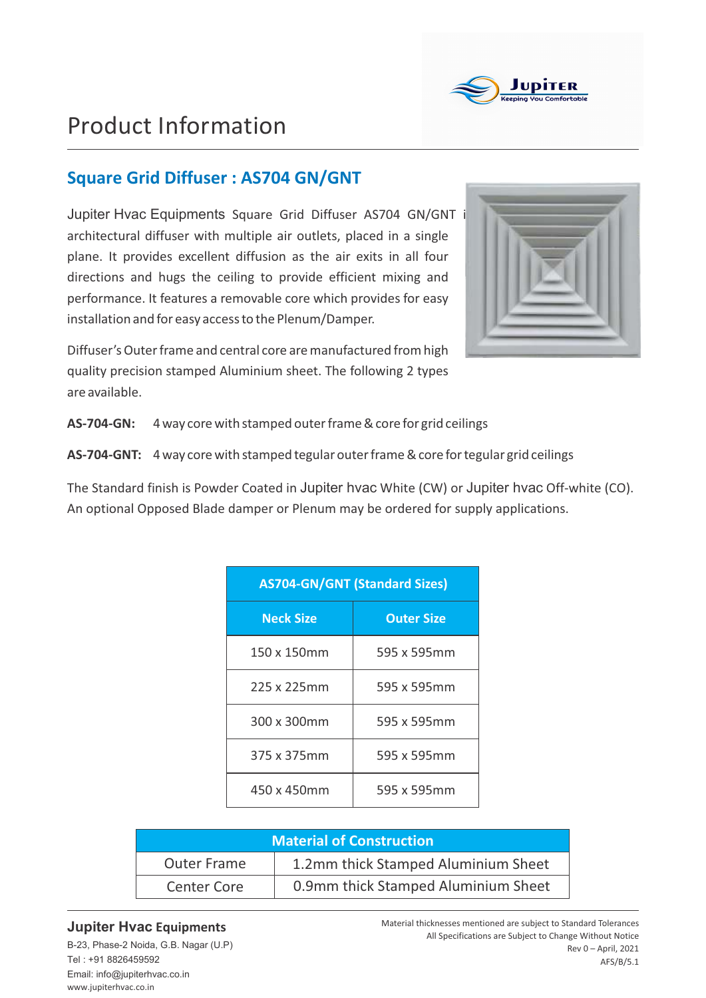

# Product Information

## **Square Grid Diffuser : AS704 GN/GNT**

Jupiter Hvac Equipments Square Grid Diffuser AS704 GN/GNT is architectural diffuser with multiple air outlets, placed in a single plane. It provides excellent diffusion as the air exits in all four directions and hugs the ceiling to provide efficient mixing and performance. It features a removable core which provides for easy installation and for easy accessto the Plenum/Damper.

Diffuser's Outer frame and central core are manufactured from high quality precision stamped Aluminium sheet. The following 2 types are available.



**AS-704-GN:** 4 way core with stamped outer frame & core for grid ceilings

AS-704-GNT: 4 way core with stamped tegular outer frame & core for tegular grid ceilings

The Standard finish is Powder Coated in Jupiter hvac White (CW) or Jupiter hvac Off-white (CO). An optional Opposed Blade damper or Plenum may be ordered for supply applications.

| <b>AS704-GN/GNT (Standard Sizes)</b> |                   |  |  |  |  |  |  |  |
|--------------------------------------|-------------------|--|--|--|--|--|--|--|
| <b>Neck Size</b>                     | <b>Outer Size</b> |  |  |  |  |  |  |  |
| 150 x 150mm                          | 595 x 595mm       |  |  |  |  |  |  |  |
| 225 x 225mm                          | 595 x 595mm       |  |  |  |  |  |  |  |
| 300 x 300mm                          | 595 x 595mm       |  |  |  |  |  |  |  |
| 375 x 375mm                          | 595 x 595mm       |  |  |  |  |  |  |  |
| 450 x 450mm                          | 595 x 595mm       |  |  |  |  |  |  |  |

| <b>Material of Construction</b> |                                     |  |  |  |  |  |
|---------------------------------|-------------------------------------|--|--|--|--|--|
| <b>Outer Frame</b>              | 1.2mm thick Stamped Aluminium Sheet |  |  |  |  |  |
| <b>Center Core</b>              | 0.9mm thick Stamped Aluminium Sheet |  |  |  |  |  |

#### **Jupiter Hvac Equipments**

www.jupiterhvac.co.in B-23, Phase-2 Noida, G.B. Nagar (U.P) Tel : +91 8826459592 Email: info@jupiterhvac.co.in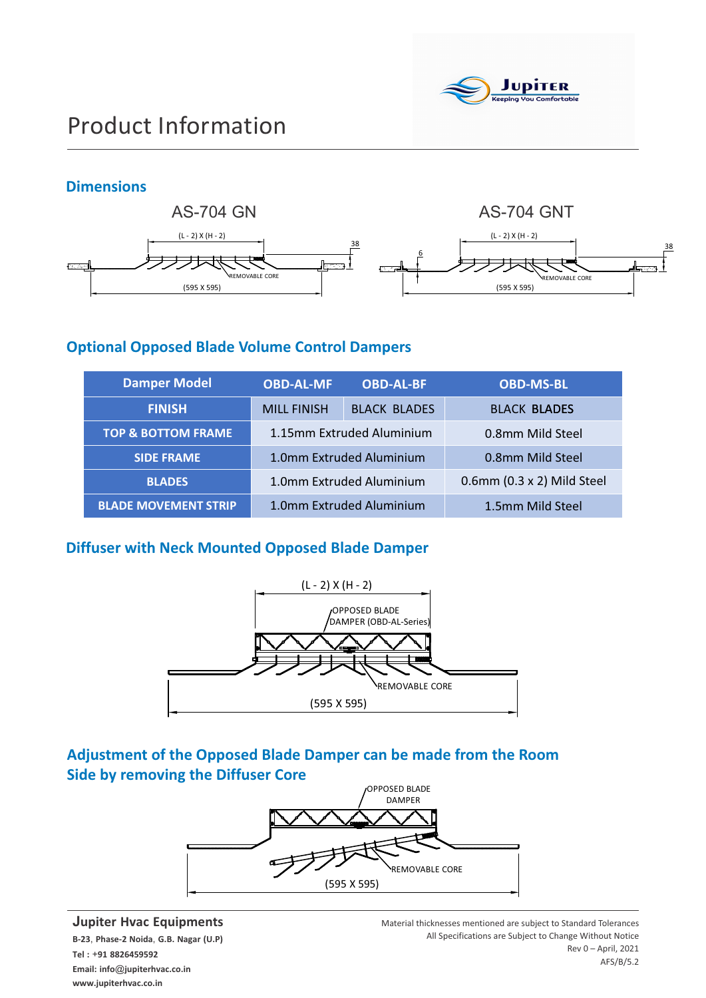

## **Dimensions**



### **Optional Opposed Blade Volume Control Dampers**

| <b>Damper Model</b>           | <b>OBD-AL-MF</b>   | <b>OBD-AL-BF</b>          | <b>OBD-MS-BL</b>           |  |  |  |  |
|-------------------------------|--------------------|---------------------------|----------------------------|--|--|--|--|
| <b>FINISH</b>                 | <b>MILL FINISH</b> | <b>BLACK BLADES</b>       | <b>BLACK BLADES</b>        |  |  |  |  |
| <b>TOP &amp; BOTTOM FRAME</b> |                    | 1.15mm Extruded Aluminium | 0.8mm Mild Steel           |  |  |  |  |
| <b>SIDE FRAME</b>             |                    | 1.0mm Extruded Aluminium  | 0.8mm Mild Steel           |  |  |  |  |
| <b>BLADES</b>                 |                    | 1.0mm Extruded Aluminium  | 0.6mm (0.3 x 2) Mild Steel |  |  |  |  |
| <b>BLADE MOVEMENT STRIP</b>   |                    | 1.0mm Extruded Aluminium  | 1.5mm Mild Steel           |  |  |  |  |

### **Diffuser with Neck Mounted Opposed Blade Damper**



## **Adjustment of the Opposed Blade Damper can be made from the Room Side by removing the Diffuser Core**



#### **Jupiter Hvac Equipments**

**B-23**, **Phase-2 Noida**, **G.B. Nagar (U.P) Tel :** +**91 8826459592 Email: info**@**jupiterhvac.co.in www.jupiterhvac.co.in**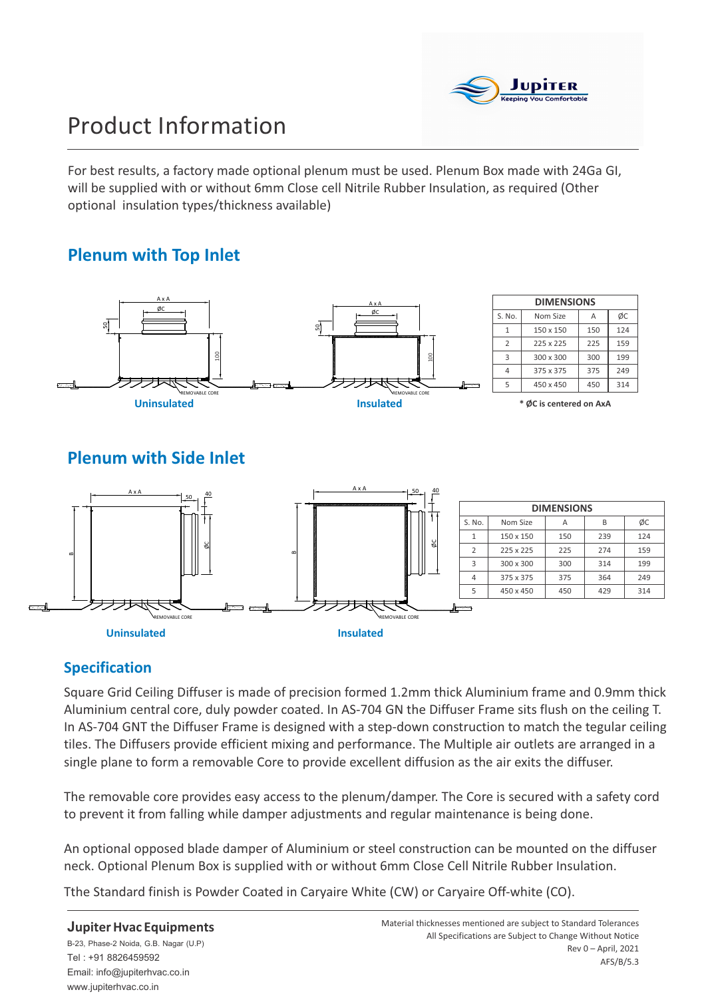

# Product Information

For best results, a factory made optional plenum must be used. Plenum Box made with 24Ga GI, will be supplied with or without 6mm Close cell Nitrile Rubber Insulation, as required (Other optional insulation types/thickness available)

## **Plenum with Top Inlet**





## **Specification**

Square Grid Ceiling Diffuser is made of precision formed 1.2mm thick Aluminium frame and 0.9mm thick Aluminium central core, duly powder coated. In AS-704 GN the Diffuser Frame sits flush on the ceiling T. In AS-704 GNT the Diffuser Frame is designed with a step-down construction to match the tegular ceiling tiles. The Diffusers provide efficient mixing and performance. The Multiple air outlets are arranged in a single plane to form a removable Core to provide excellent diffusion as the air exits the diffuser.

The removable core provides easy access to the plenum/damper. The Core is secured with a safety cord to prevent it from falling while damper adjustments and regular maintenance is being done.

An optional opposed blade damper of Aluminium or steel construction can be mounted on the diffuser neck. Optional Plenum Box is supplied with or without 6mm Close Cell Nitrile Rubber Insulation.

Tthe Standard finish is Powder Coated in Caryaire White (CW) or Caryaire Off-white (CO).

#### **JupiterHvac Equipments**

B-23, Phase-2 Noida, G.B. Nagar (U.P) Tel : +91 8826459592 Email: info@jupiterhvac.co.in www.jupiterhvac.co.in